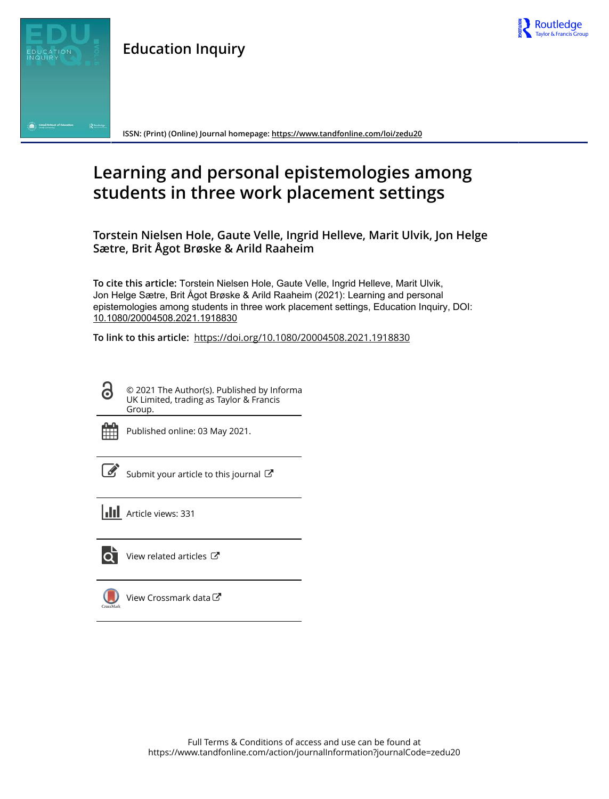



**ISSN: (Print) (Online) Journal homepage:<https://www.tandfonline.com/loi/zedu20>**

# **Learning and personal epistemologies among students in three work placement settings**

**Torstein Nielsen Hole, Gaute Velle, Ingrid Helleve, Marit Ulvik, Jon Helge Sætre, Brit Ågot Brøske & Arild Raaheim**

**To cite this article:** Torstein Nielsen Hole, Gaute Velle, Ingrid Helleve, Marit Ulvik, Jon Helge Sætre, Brit Ågot Brøske & Arild Raaheim (2021): Learning and personal epistemologies among students in three work placement settings, Education Inquiry, DOI: [10.1080/20004508.2021.1918830](https://www.tandfonline.com/action/showCitFormats?doi=10.1080/20004508.2021.1918830)

**To link to this article:** <https://doi.org/10.1080/20004508.2021.1918830>

© 2021 The Author(s). Published by Informa UK Limited, trading as Taylor & Francis Group.



ര

Published online: 03 May 2021.

 $\overrightarrow{S}$  [Submit your article to this journal](https://www.tandfonline.com/action/authorSubmission?journalCode=zedu20&show=instructions)  $\overrightarrow{S}$ 





[View related articles](https://www.tandfonline.com/doi/mlt/10.1080/20004508.2021.1918830)  $\mathbb{Z}$ 



[View Crossmark data](http://crossmark.crossref.org/dialog/?doi=10.1080/20004508.2021.1918830&domain=pdf&date_stamp=2021-05-03)<sup>C</sup>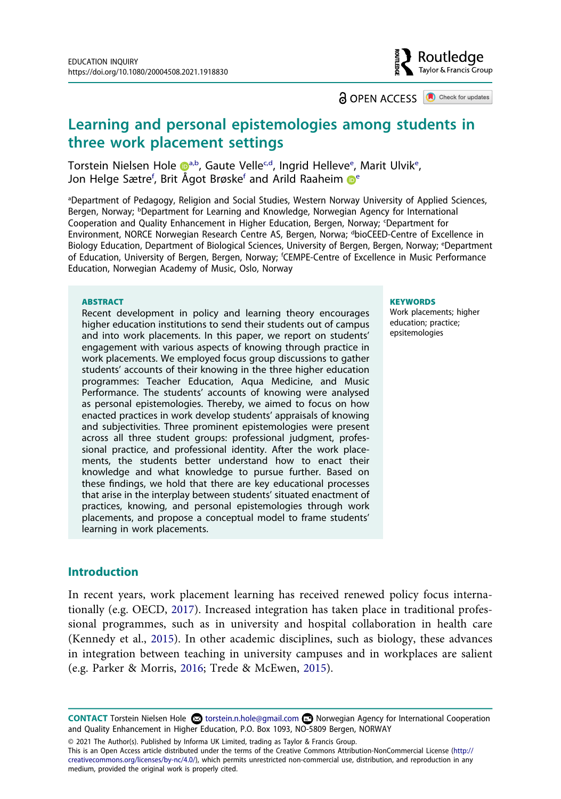## Routledae Tavlor & Francis Group

**a** OPEN ACCESS **a** Check for updates

## **Learning and personal epistemologies among students in three work placement settings**

Torst[e](#page-1-4)in Nielsen Hole D<sup>[a](#page-1-0),b</sup>, Gaute Velle<sup>[c](#page-1-2)[,d](#page-1-3)</sup>, Ingrid Helleve<sup>e</sup>, Marit Ulvik<sup>e</sup>, Jon Helge Sætre<sup>[f](#page-1-5)</sup>, Brit Ågot Brøsk[e](#page-1-4)<sup>r</sup> and Arild Raaheim **D**<sup>e</sup>

<span id="page-1-4"></span><span id="page-1-3"></span><span id="page-1-2"></span><span id="page-1-1"></span><span id="page-1-0"></span>a Department of Pedagogy, Religion and Social Studies, Western Norway University of Applied Sciences, Bergen, Norway; <sup>b</sup>Department for Learning and Knowledge, Norwegian Agency for International Cooperation and Quality Enhancement in Higher Education, Bergen, Norway; 'Department for Environment, NORCE Norwegian Research Centre AS, Bergen, Norwa; <sup>d</sup>bioCEED-Centre of Excellence in Biology Education, Department of Biological Sciences, University of Bergen, Bergen, Norway; <sup>e</sup>Department of Education, University of Bergen, Bergen, Norway; f CEMPE-Centre of Excellence in Music Performance Education, Norwegian Academy of Music, Oslo, Norway

#### <span id="page-1-5"></span>**ABSTRACT**

Recent development in policy and learning theory encourages higher education institutions to send their students out of campus and into work placements. In this paper, we report on students' engagement with various aspects of knowing through practice in work placements. We employed focus group discussions to gather students' accounts of their knowing in the three higher education programmes: Teacher Education, Aqua Medicine, and Music Performance. The students' accounts of knowing were analysed as personal epistemologies. Thereby, we aimed to focus on how enacted practices in work develop students' appraisals of knowing and subjectivities. Three prominent epistemologies were present across all three student groups: professional judgment, professional practice, and professional identity. After the work placements, the students better understand how to enact their knowledge and what knowledge to pursue further. Based on these findings, we hold that there are key educational processes that arise in the interplay between students' situated enactment of practices, knowing, and personal epistemologies through work placements, and propose a conceptual model to frame students' learning in work placements.

#### **KEYWORDS**

Work placements; higher education; practice; epsitemologies

#### **Introduction**

<span id="page-1-7"></span><span id="page-1-6"></span>In recent years, work placement learning has received renewed policy focus internationally (e.g. OECD, [2017\)](#page-19-0). Increased integration has taken place in traditional professional programmes, such as in university and hospital collaboration in health care (Kennedy et al., [2015\)](#page-19-1). In other academic disciplines, such as biology, these advances in integration between teaching in university campuses and in workplaces are salient (e.g. Parker & Morris, [2016;](#page-19-2) Trede & McEwen, [2015](#page-20-0)).

© 2021 The Author(s). Published by Informa UK Limited, trading as Taylor & Francis Group.

This is an Open Access article distributed under the terms of the Creative Commons Attribution-NonCommercial License (http:// creativecommons.org/licenses/by-nc/4.0/), which permits unrestricted non-commercial use, distribution, and reproduction in any medium, provided the original work is properly cited.

<span id="page-1-8"></span>CONTACT Torstein Nielsen Hole **۞** torstein.n.hole@gmail.com **■** Norwegian Agency for International Cooperation and Quality Enhancement in Higher Education, P.O. Box 1093, NO-5809 Bergen, NORWAY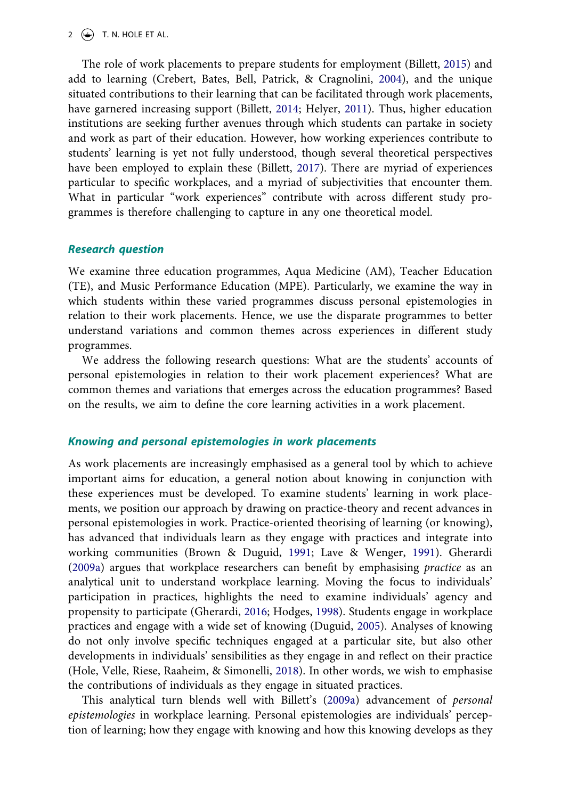#### 2  $\left(\rightarrowright)$  T. N. HOLE ET AL.

<span id="page-2-5"></span><span id="page-2-2"></span><span id="page-2-1"></span>The role of work placements to prepare students for employment (Billett, [2015\)](#page-18-0) and add to learning (Crebert, Bates, Bell, Patrick, & Cragnolini, [2004](#page-18-1)), and the unique situated contributions to their learning that can be facilitated through work placements, have garnered increasing support (Billett, [2014;](#page-18-2) Helyer, [2011](#page-19-3)). Thus, higher education institutions are seeking further avenues through which students can partake in society and work as part of their education. However, how working experiences contribute to students' learning is yet not fully understood, though several theoretical perspectives have been employed to explain these (Billett, [2017](#page-18-3)). There are myriad of experiences particular to specific workplaces, and a myriad of subjectivities that encounter them. What in particular "work experiences" contribute with across different study programmes is therefore challenging to capture in any one theoretical model.

#### <span id="page-2-3"></span>*Research question*

We examine three education programmes, Aqua Medicine (AM), Teacher Education (TE), and Music Performance Education (MPE). Particularly, we examine the way in which students within these varied programmes discuss personal epistemologies in relation to their work placements. Hence, we use the disparate programmes to better understand variations and common themes across experiences in different study programmes.

We address the following research questions: What are the students' accounts of personal epistemologies in relation to their work placement experiences? What are common themes and variations that emerges across the education programmes? Based on the results, we aim to define the core learning activities in a work placement.

## *Knowing and personal epistemologies in work placements*

<span id="page-2-7"></span><span id="page-2-4"></span>As work placements are increasingly emphasised as a general tool by which to achieve important aims for education, a general notion about knowing in conjunction with these experiences must be developed. To examine students' learning in work placements, we position our approach by drawing on practice-theory and recent advances in personal epistemologies in work. Practice-oriented theorising of learning (or knowing), has advanced that individuals learn as they engage with practices and integrate into working communities (Brown & Duguid, [1991;](#page-18-4) Lave & Wenger, [1991\)](#page-19-4). Gherardi ([2009a](#page-19-5)) argues that workplace researchers can benefit by emphasising *practice* as an analytical unit to understand workplace learning. Moving the focus to individuals' participation in practices, highlights the need to examine individuals' agency and propensity to participate (Gherardi, [2016;](#page-19-6) Hodges, [1998\)](#page-19-7). Students engage in workplace practices and engage with a wide set of knowing (Duguid, [2005](#page-18-5)). Analyses of knowing do not only involve specific techniques engaged at a particular site, but also other developments in individuals' sensibilities as they engage in and reflect on their practice (Hole, Velle, Riese, Raaheim, & Simonelli, [2018\)](#page-19-8). In other words, we wish to emphasise the contributions of individuals as they engage in situated practices.

<span id="page-2-9"></span><span id="page-2-8"></span><span id="page-2-6"></span><span id="page-2-0"></span>This analytical turn blends well with Billett's ([2009a\)](#page-18-6) advancement of *personal epistemologies* in workplace learning. Personal epistemologies are individuals' perception of learning; how they engage with knowing and how this knowing develops as they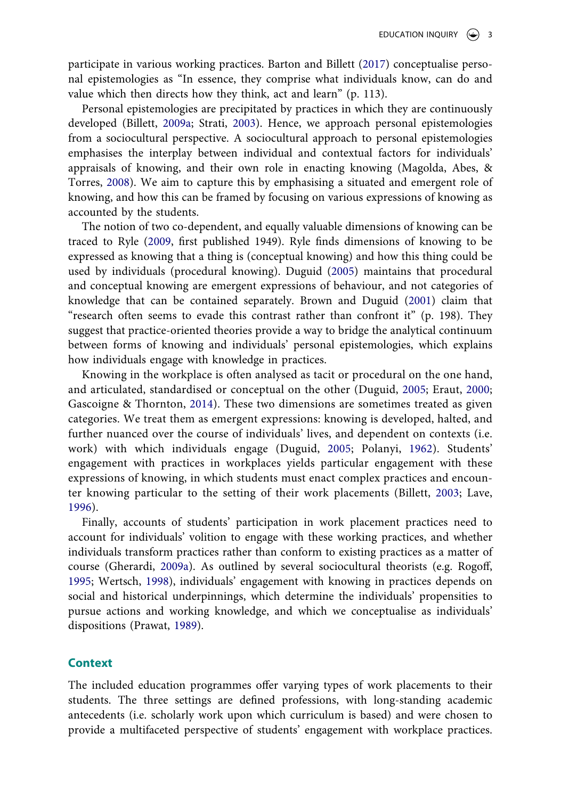<span id="page-3-0"></span>participate in various working practices. Barton and Billett ([2017](#page-18-7)) conceptualise personal epistemologies as "In essence, they comprise what individuals know, can do and value which then directs how they think, act and learn" (p. 113).

<span id="page-3-10"></span>Personal epistemologies are precipitated by practices in which they are continuously developed (Billett, [2009a](#page-18-6); Strati, [2003\)](#page-20-1). Hence, we approach personal epistemologies from a sociocultural perspective. A sociocultural approach to personal epistemologies emphasises the interplay between individual and contextual factors for individuals' appraisals of knowing, and their own role in enacting knowing (Magolda, Abes, & Torres, [2008\)](#page-19-9). We aim to capture this by emphasising a situated and emergent role of knowing, and how this can be framed by focusing on various expressions of knowing as accounted by the students.

<span id="page-3-9"></span><span id="page-3-5"></span><span id="page-3-2"></span>The notion of two co-dependent, and equally valuable dimensions of knowing can be traced to Ryle [\(2009](#page-19-10), first published 1949). Ryle finds dimensions of knowing to be expressed as knowing that a thing is (conceptual knowing) and how this thing could be used by individuals (procedural knowing). Duguid [\(2005\)](#page-18-5) maintains that procedural and conceptual knowing are emergent expressions of behaviour, and not categories of knowledge that can be contained separately. Brown and Duguid [\(2001\)](#page-18-8) claim that "research often seems to evade this contrast rather than confront it" (p. 198). They suggest that practice-oriented theories provide a way to bridge the analytical continuum between forms of knowing and individuals' personal epistemologies, which explains how individuals engage with knowledge in practices.

<span id="page-3-6"></span><span id="page-3-4"></span><span id="page-3-3"></span>Knowing in the workplace is often analysed as tacit or procedural on the one hand, and articulated, standardised or conceptual on the other (Duguid, [2005;](#page-18-5) Eraut, [2000;](#page-18-9) Gascoigne & Thornton, [2014\)](#page-19-11). These two dimensions are sometimes treated as given categories. We treat them as emergent expressions: knowing is developed, halted, and further nuanced over the course of individuals' lives, and dependent on contexts (i.e. work) with which individuals engage (Duguid, [2005;](#page-18-5) Polanyi, [1962](#page-19-12)). Students' engagement with practices in workplaces yields particular engagement with these expressions of knowing, in which students must enact complex practices and encounter knowing particular to the setting of their work placements (Billett, [2003;](#page-18-10) Lave, [1996\)](#page-19-13).

<span id="page-3-11"></span><span id="page-3-8"></span><span id="page-3-1"></span>Finally, accounts of students' participation in work placement practices need to account for individuals' volition to engage with these working practices, and whether individuals transform practices rather than conform to existing practices as a matter of course (Gherardi, [2009a\)](#page-19-5). As outlined by several sociocultural theorists (e.g. Rogoff, [1995](#page-19-14); Wertsch, [1998](#page-20-2)), individuals' engagement with knowing in practices depends on social and historical underpinnings, which determine the individuals' propensities to pursue actions and working knowledge, and which we conceptualise as individuals' dispositions (Prawat, [1989](#page-19-15)).

#### <span id="page-3-7"></span>**Context**

The included education programmes offer varying types of work placements to their students. The three settings are defined professions, with long-standing academic antecedents (i.e. scholarly work upon which curriculum is based) and were chosen to provide a multifaceted perspective of students' engagement with workplace practices.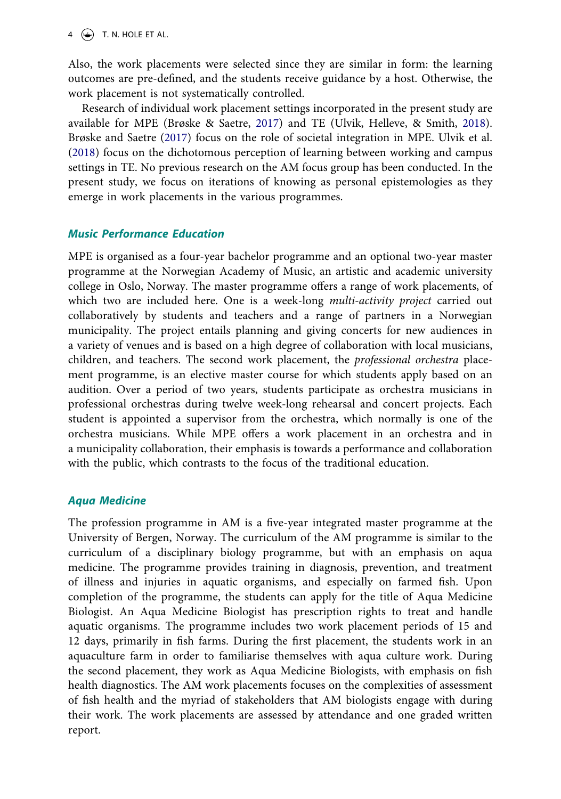$4 \quad \Leftrightarrow$  T. N. HOLE ET AL.

Also, the work placements were selected since they are similar in form: the learning outcomes are pre-defined, and the students receive guidance by a host. Otherwise, the work placement is not systematically controlled.

<span id="page-4-1"></span><span id="page-4-0"></span>Research of individual work placement settings incorporated in the present study are available for MPE (Brøske & Saetre, [2017](#page-18-11)) and TE (Ulvik, Helleve, & Smith, [2018](#page-20-3)). Brøske and Saetre ([2017\)](#page-18-11) focus on the role of societal integration in MPE. Ulvik et al. ([2018\)](#page-20-3) focus on the dichotomous perception of learning between working and campus settings in TE. No previous research on the AM focus group has been conducted. In the present study, we focus on iterations of knowing as personal epistemologies as they emerge in work placements in the various programmes.

## *Music Performance Education*

MPE is organised as a four-year bachelor programme and an optional two-year master programme at the Norwegian Academy of Music, an artistic and academic university college in Oslo, Norway. The master programme offers a range of work placements, of which two are included here. One is a week-long *multi-activity project* carried out collaboratively by students and teachers and a range of partners in a Norwegian municipality. The project entails planning and giving concerts for new audiences in a variety of venues and is based on a high degree of collaboration with local musicians, children, and teachers. The second work placement, the *professional orchestra* placement programme, is an elective master course for which students apply based on an audition. Over a period of two years, students participate as orchestra musicians in professional orchestras during twelve week-long rehearsal and concert projects. Each student is appointed a supervisor from the orchestra, which normally is one of the orchestra musicians. While MPE offers a work placement in an orchestra and in a municipality collaboration, their emphasis is towards a performance and collaboration with the public, which contrasts to the focus of the traditional education.

## *Aqua Medicine*

The profession programme in AM is a five-year integrated master programme at the University of Bergen, Norway. The curriculum of the AM programme is similar to the curriculum of a disciplinary biology programme, but with an emphasis on aqua medicine. The programme provides training in diagnosis, prevention, and treatment of illness and injuries in aquatic organisms, and especially on farmed fish. Upon completion of the programme, the students can apply for the title of Aqua Medicine Biologist. An Aqua Medicine Biologist has prescription rights to treat and handle aquatic organisms. The programme includes two work placement periods of 15 and 12 days, primarily in fish farms. During the first placement, the students work in an aquaculture farm in order to familiarise themselves with aqua culture work. During the second placement, they work as Aqua Medicine Biologists, with emphasis on fish health diagnostics. The AM work placements focuses on the complexities of assessment of fish health and the myriad of stakeholders that AM biologists engage with during their work. The work placements are assessed by attendance and one graded written report.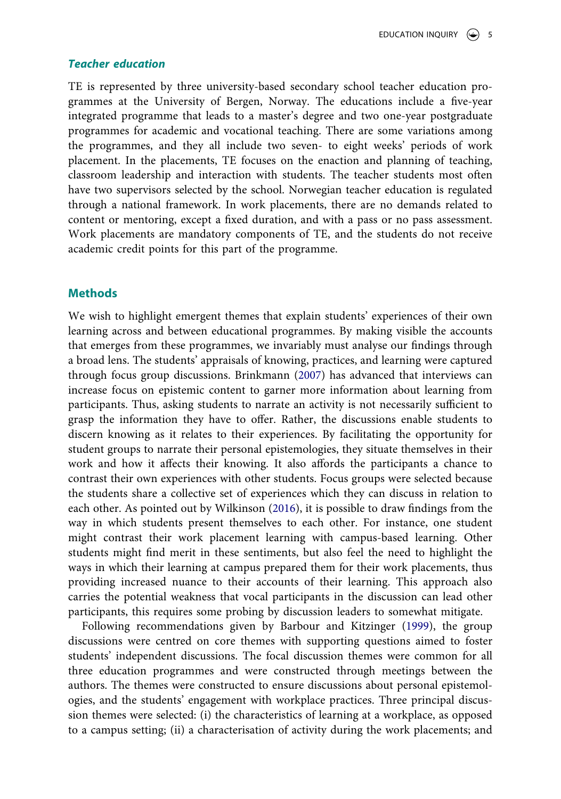#### *Teacher education*

TE is represented by three university-based secondary school teacher education programmes at the University of Bergen, Norway. The educations include a five-year integrated programme that leads to a master's degree and two one-year postgraduate programmes for academic and vocational teaching. There are some variations among the programmes, and they all include two seven- to eight weeks' periods of work placement. In the placements, TE focuses on the enaction and planning of teaching, classroom leadership and interaction with students. The teacher students most often have two supervisors selected by the school. Norwegian teacher education is regulated through a national framework. In work placements, there are no demands related to content or mentoring, except a fixed duration, and with a pass or no pass assessment. Work placements are mandatory components of TE, and the students do not receive academic credit points for this part of the programme.

## **Methods**

<span id="page-5-1"></span>We wish to highlight emergent themes that explain students' experiences of their own learning across and between educational programmes. By making visible the accounts that emerges from these programmes, we invariably must analyse our findings through a broad lens. The students' appraisals of knowing, practices, and learning were captured through focus group discussions. Brinkmann [\(2007\)](#page-18-12) has advanced that interviews can increase focus on epistemic content to garner more information about learning from participants. Thus, asking students to narrate an activity is not necessarily sufficient to grasp the information they have to offer. Rather, the discussions enable students to discern knowing as it relates to their experiences. By facilitating the opportunity for student groups to narrate their personal epistemologies, they situate themselves in their work and how it affects their knowing. It also affords the participants a chance to contrast their own experiences with other students. Focus groups were selected because the students share a collective set of experiences which they can discuss in relation to each other. As pointed out by Wilkinson ([2016\)](#page-20-4), it is possible to draw findings from the way in which students present themselves to each other. For instance, one student might contrast their work placement learning with campus-based learning. Other students might find merit in these sentiments, but also feel the need to highlight the ways in which their learning at campus prepared them for their work placements, thus providing increased nuance to their accounts of their learning. This approach also carries the potential weakness that vocal participants in the discussion can lead other participants, this requires some probing by discussion leaders to somewhat mitigate.

<span id="page-5-2"></span><span id="page-5-0"></span>Following recommendations given by Barbour and Kitzinger [\(1999](#page-18-13)), the group discussions were centred on core themes with supporting questions aimed to foster students' independent discussions. The focal discussion themes were common for all three education programmes and were constructed through meetings between the authors. The themes were constructed to ensure discussions about personal epistemologies, and the students' engagement with workplace practices. Three principal discussion themes were selected: (i) the characteristics of learning at a workplace, as opposed to a campus setting; (ii) a characterisation of activity during the work placements; and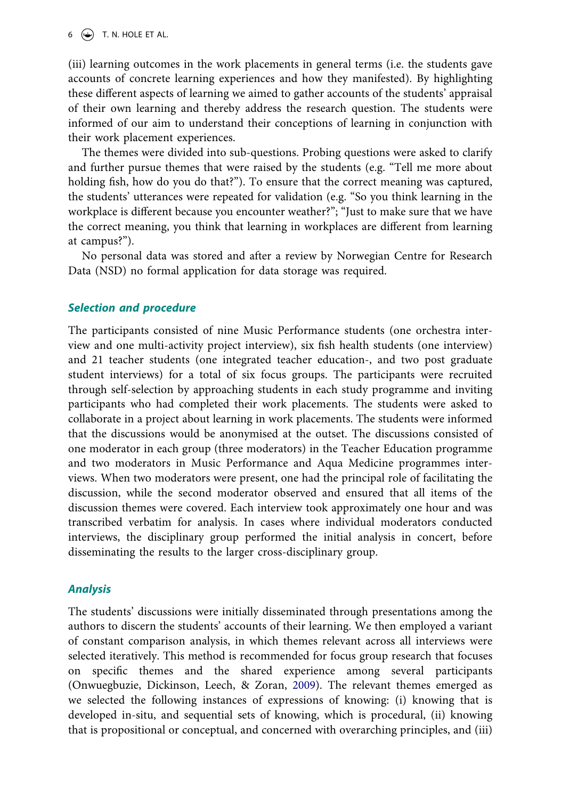(iii) learning outcomes in the work placements in general terms (i.e. the students gave accounts of concrete learning experiences and how they manifested). By highlighting these different aspects of learning we aimed to gather accounts of the students' appraisal of their own learning and thereby address the research question. The students were informed of our aim to understand their conceptions of learning in conjunction with their work placement experiences.

The themes were divided into sub-questions. Probing questions were asked to clarify and further pursue themes that were raised by the students (e.g. "Tell me more about holding fish, how do you do that?"). To ensure that the correct meaning was captured, the students' utterances were repeated for validation (e.g. "So you think learning in the workplace is different because you encounter weather?"; "Just to make sure that we have the correct meaning, you think that learning in workplaces are different from learning at campus?").

No personal data was stored and after a review by Norwegian Centre for Research Data (NSD) no formal application for data storage was required.

## *Selection and procedure*

The participants consisted of nine Music Performance students (one orchestra interview and one multi-activity project interview), six fish health students (one interview) and 21 teacher students (one integrated teacher education-, and two post graduate student interviews) for a total of six focus groups. The participants were recruited through self-selection by approaching students in each study programme and inviting participants who had completed their work placements. The students were asked to collaborate in a project about learning in work placements. The students were informed that the discussions would be anonymised at the outset. The discussions consisted of one moderator in each group (three moderators) in the Teacher Education programme and two moderators in Music Performance and Aqua Medicine programmes interviews. When two moderators were present, one had the principal role of facilitating the discussion, while the second moderator observed and ensured that all items of the discussion themes were covered. Each interview took approximately one hour and was transcribed verbatim for analysis. In cases where individual moderators conducted interviews, the disciplinary group performed the initial analysis in concert, before disseminating the results to the larger cross-disciplinary group.

#### *Analysis*

<span id="page-6-0"></span>The students' discussions were initially disseminated through presentations among the authors to discern the students' accounts of their learning. We then employed a variant of constant comparison analysis, in which themes relevant across all interviews were selected iteratively. This method is recommended for focus group research that focuses on specific themes and the shared experience among several participants (Onwuegbuzie, Dickinson, Leech, & Zoran, [2009\)](#page-19-16). The relevant themes emerged as we selected the following instances of expressions of knowing: (i) knowing that is developed in-situ, and sequential sets of knowing, which is procedural, (ii) knowing that is propositional or conceptual, and concerned with overarching principles, and (iii)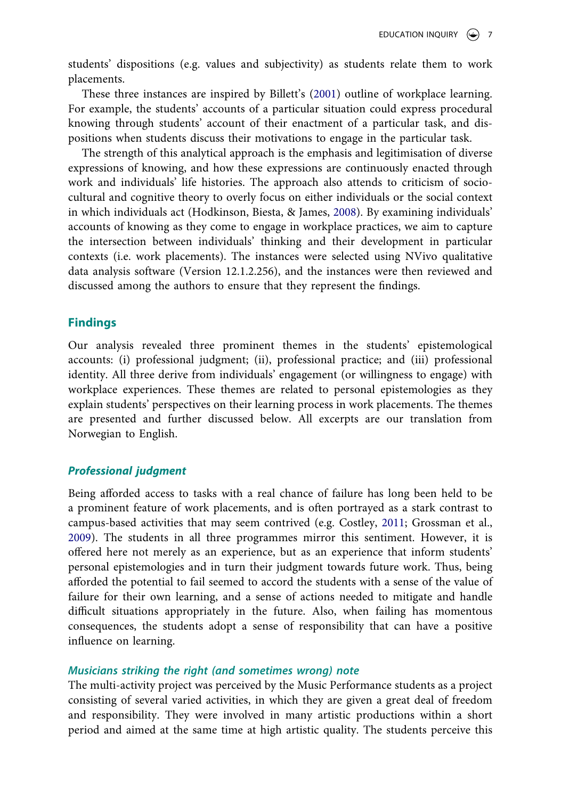students' dispositions (e.g. values and subjectivity) as students relate them to work placements.

<span id="page-7-0"></span>These three instances are inspired by Billett's ([2001\)](#page-18-14) outline of workplace learning. For example, the students' accounts of a particular situation could express procedural knowing through students' account of their enactment of a particular task, and dispositions when students discuss their motivations to engage in the particular task.

<span id="page-7-2"></span>The strength of this analytical approach is the emphasis and legitimisation of diverse expressions of knowing, and how these expressions are continuously enacted through work and individuals' life histories. The approach also attends to criticism of sociocultural and cognitive theory to overly focus on either individuals or the social context in which individuals act (Hodkinson, Biesta, & James, [2008](#page-19-17)). By examining individuals' accounts of knowing as they come to engage in workplace practices, we aim to capture the intersection between individuals' thinking and their development in particular contexts (i.e. work placements). The instances were selected using NVivo qualitative data analysis software (Version 12.1.2.256), and the instances were then reviewed and discussed among the authors to ensure that they represent the findings.

## **Findings**

Our analysis revealed three prominent themes in the students' epistemological accounts: (i) professional judgment; (ii), professional practice; and (iii) professional identity. All three derive from individuals' engagement (or willingness to engage) with workplace experiences. These themes are related to personal epistemologies as they explain students' perspectives on their learning process in work placements. The themes are presented and further discussed below. All excerpts are our translation from Norwegian to English.

#### *Professional judgment*

<span id="page-7-1"></span>Being afforded access to tasks with a real chance of failure has long been held to be a prominent feature of work placements, and is often portrayed as a stark contrast to campus-based activities that may seem contrived (e.g. Costley, [2011](#page-18-15); Grossman et al., [2009](#page-19-18)). The students in all three programmes mirror this sentiment. However, it is offered here not merely as an experience, but as an experience that inform students' personal epistemologies and in turn their judgment towards future work. Thus, being afforded the potential to fail seemed to accord the students with a sense of the value of failure for their own learning, and a sense of actions needed to mitigate and handle difficult situations appropriately in the future. Also, when failing has momentous consequences, the students adopt a sense of responsibility that can have a positive influence on learning.

#### *Musicians striking the right (and sometimes wrong) note*

The multi-activity project was perceived by the Music Performance students as a project consisting of several varied activities, in which they are given a great deal of freedom and responsibility. They were involved in many artistic productions within a short period and aimed at the same time at high artistic quality. The students perceive this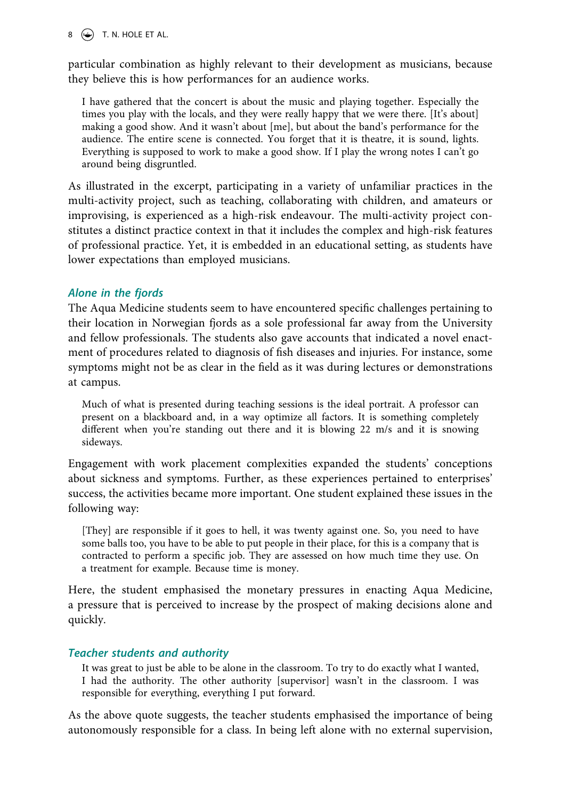$8 \quad (*)$  T. N. HOLE ET AL.

particular combination as highly relevant to their development as musicians, because they believe this is how performances for an audience works.

I have gathered that the concert is about the music and playing together. Especially the times you play with the locals, and they were really happy that we were there. [It's about] making a good show. And it wasn't about [me], but about the band's performance for the audience. The entire scene is connected. You forget that it is theatre, it is sound, lights. Everything is supposed to work to make a good show. If I play the wrong notes I can't go around being disgruntled.

As illustrated in the excerpt, participating in a variety of unfamiliar practices in the multi-activity project, such as teaching, collaborating with children, and amateurs or improvising, is experienced as a high-risk endeavour. The multi-activity project constitutes a distinct practice context in that it includes the complex and high-risk features of professional practice. Yet, it is embedded in an educational setting, as students have lower expectations than employed musicians.

## *Alone in the fjords*

The Aqua Medicine students seem to have encountered specific challenges pertaining to their location in Norwegian fjords as a sole professional far away from the University and fellow professionals. The students also gave accounts that indicated a novel enactment of procedures related to diagnosis of fish diseases and injuries. For instance, some symptoms might not be as clear in the field as it was during lectures or demonstrations at campus.

Much of what is presented during teaching sessions is the ideal portrait. A professor can present on a blackboard and, in a way optimize all factors. It is something completely different when you're standing out there and it is blowing 22 m/s and it is snowing sideways.

Engagement with work placement complexities expanded the students' conceptions about sickness and symptoms. Further, as these experiences pertained to enterprises' success, the activities became more important. One student explained these issues in the following way:

[They] are responsible if it goes to hell, it was twenty against one. So, you need to have some balls too, you have to be able to put people in their place, for this is a company that is contracted to perform a specific job. They are assessed on how much time they use. On a treatment for example. Because time is money.

Here, the student emphasised the monetary pressures in enacting Aqua Medicine, a pressure that is perceived to increase by the prospect of making decisions alone and quickly.

## *Teacher students and authority*

It was great to just be able to be alone in the classroom. To try to do exactly what I wanted, I had the authority. The other authority [supervisor] wasn't in the classroom. I was responsible for everything, everything I put forward.

As the above quote suggests, the teacher students emphasised the importance of being autonomously responsible for a class. In being left alone with no external supervision,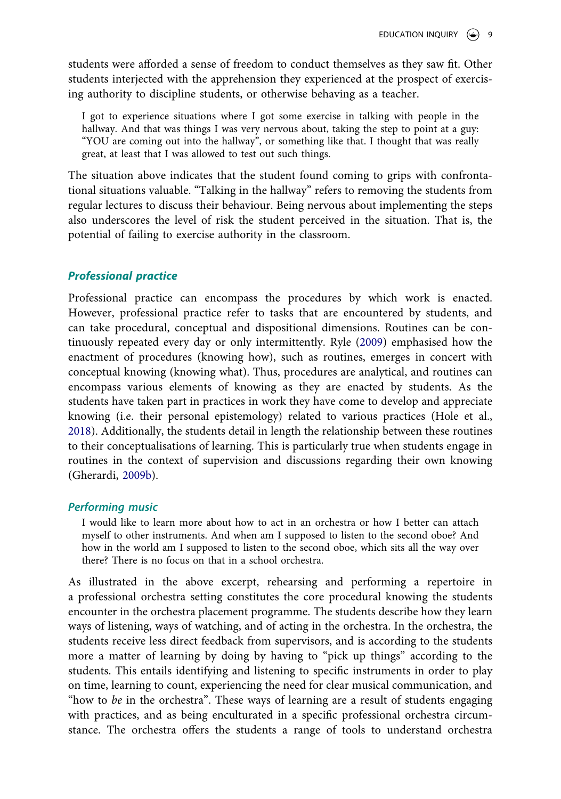students were afforded a sense of freedom to conduct themselves as they saw fit. Other students interjected with the apprehension they experienced at the prospect of exercising authority to discipline students, or otherwise behaving as a teacher.

I got to experience situations where I got some exercise in talking with people in the hallway. And that was things I was very nervous about, taking the step to point at a guy: "YOU are coming out into the hallway", or something like that. I thought that was really great, at least that I was allowed to test out such things.

The situation above indicates that the student found coming to grips with confrontational situations valuable. "Talking in the hallway" refers to removing the students from regular lectures to discuss their behaviour. Being nervous about implementing the steps also underscores the level of risk the student perceived in the situation. That is, the potential of failing to exercise authority in the classroom.

## *Professional practice*

Professional practice can encompass the procedures by which work is enacted. However, professional practice refer to tasks that are encountered by students, and can take procedural, conceptual and dispositional dimensions. Routines can be continuously repeated every day or only intermittently. Ryle ([2009\)](#page-19-10) emphasised how the enactment of procedures (knowing how), such as routines, emerges in concert with conceptual knowing (knowing what). Thus, procedures are analytical, and routines can encompass various elements of knowing as they are enacted by students. As the students have taken part in practices in work they have come to develop and appreciate knowing (i.e. their personal epistemology) related to various practices (Hole et al., [2018](#page-19-8)). Additionally, the students detail in length the relationship between these routines to their conceptualisations of learning. This is particularly true when students engage in routines in the context of supervision and discussions regarding their own knowing (Gherardi, [2009b](#page-19-19)).

#### <span id="page-9-0"></span>*Performing music*

I would like to learn more about how to act in an orchestra or how I better can attach myself to other instruments. And when am I supposed to listen to the second oboe? And how in the world am I supposed to listen to the second oboe, which sits all the way over there? There is no focus on that in a school orchestra.

As illustrated in the above excerpt, rehearsing and performing a repertoire in a professional orchestra setting constitutes the core procedural knowing the students encounter in the orchestra placement programme. The students describe how they learn ways of listening, ways of watching, and of acting in the orchestra. In the orchestra, the students receive less direct feedback from supervisors, and is according to the students more a matter of learning by doing by having to "pick up things" according to the students. This entails identifying and listening to specific instruments in order to play on time, learning to count, experiencing the need for clear musical communication, and "how to *be* in the orchestra". These ways of learning are a result of students engaging with practices, and as being enculturated in a specific professional orchestra circumstance. The orchestra offers the students a range of tools to understand orchestra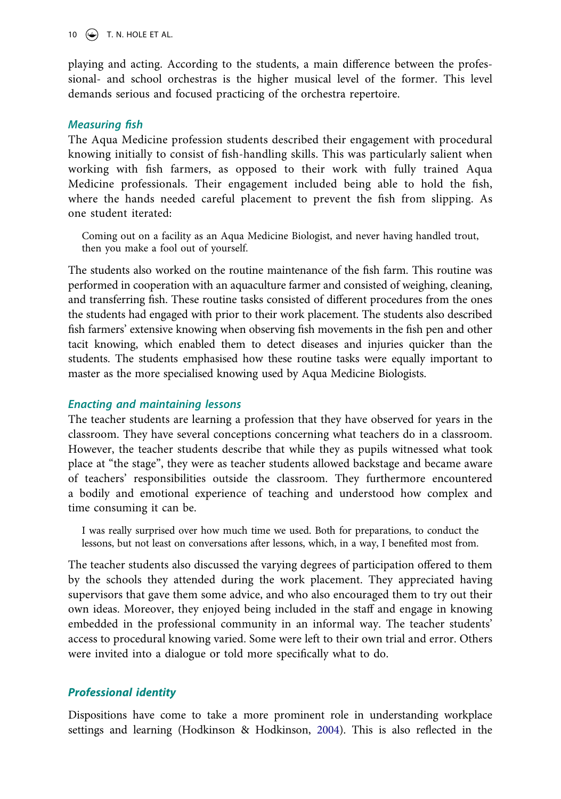10  $\left(\rightarrow\right)$  T. N. HOLE ET AL.

playing and acting. According to the students, a main difference between the professional- and school orchestras is the higher musical level of the former. This level demands serious and focused practicing of the orchestra repertoire.

#### *Measuring fish*

The Aqua Medicine profession students described their engagement with procedural knowing initially to consist of fish-handling skills. This was particularly salient when working with fish farmers, as opposed to their work with fully trained Aqua Medicine professionals. Their engagement included being able to hold the fish, where the hands needed careful placement to prevent the fish from slipping. As one student iterated:

Coming out on a facility as an Aqua Medicine Biologist, and never having handled trout, then you make a fool out of yourself.

The students also worked on the routine maintenance of the fish farm. This routine was performed in cooperation with an aquaculture farmer and consisted of weighing, cleaning, and transferring fish. These routine tasks consisted of different procedures from the ones the students had engaged with prior to their work placement. The students also described fish farmers' extensive knowing when observing fish movements in the fish pen and other tacit knowing, which enabled them to detect diseases and injuries quicker than the students. The students emphasised how these routine tasks were equally important to master as the more specialised knowing used by Aqua Medicine Biologists.

#### *Enacting and maintaining lessons*

The teacher students are learning a profession that they have observed for years in the classroom. They have several conceptions concerning what teachers do in a classroom. However, the teacher students describe that while they as pupils witnessed what took place at "the stage", they were as teacher students allowed backstage and became aware of teachers' responsibilities outside the classroom. They furthermore encountered a bodily and emotional experience of teaching and understood how complex and time consuming it can be.

I was really surprised over how much time we used. Both for preparations, to conduct the lessons, but not least on conversations after lessons, which, in a way, I benefited most from.

The teacher students also discussed the varying degrees of participation offered to them by the schools they attended during the work placement. They appreciated having supervisors that gave them some advice, and who also encouraged them to try out their own ideas. Moreover, they enjoyed being included in the staff and engage in knowing embedded in the professional community in an informal way. The teacher students' access to procedural knowing varied. Some were left to their own trial and error. Others were invited into a dialogue or told more specifically what to do.

#### *Professional identity*

<span id="page-10-0"></span>Dispositions have come to take a more prominent role in understanding workplace settings and learning (Hodkinson & Hodkinson, [2004](#page-19-20)). This is also reflected in the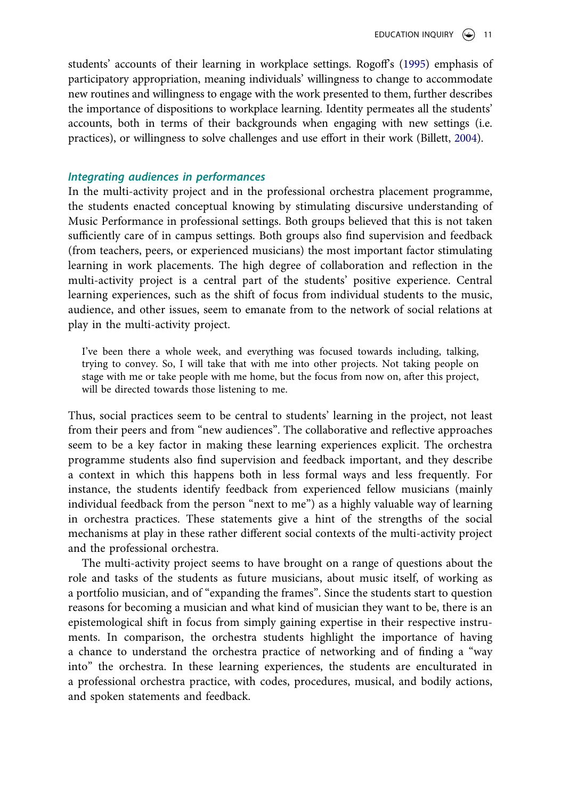students' accounts of their learning in workplace settings. Rogoff's ([1995](#page-19-14)) emphasis of participatory appropriation, meaning individuals' willingness to change to accommodate new routines and willingness to engage with the work presented to them, further describes the importance of dispositions to workplace learning. Identity permeates all the students' accounts, both in terms of their backgrounds when engaging with new settings (i.e. practices), or willingness to solve challenges and use effort in their work (Billett, [2004](#page-18-16)).

## <span id="page-11-0"></span>*Integrating audiences in performances*

In the multi-activity project and in the professional orchestra placement programme, the students enacted conceptual knowing by stimulating discursive understanding of Music Performance in professional settings. Both groups believed that this is not taken sufficiently care of in campus settings. Both groups also find supervision and feedback (from teachers, peers, or experienced musicians) the most important factor stimulating learning in work placements. The high degree of collaboration and reflection in the multi-activity project is a central part of the students' positive experience. Central learning experiences, such as the shift of focus from individual students to the music, audience, and other issues, seem to emanate from to the network of social relations at play in the multi-activity project.

I've been there a whole week, and everything was focused towards including, talking, trying to convey. So, I will take that with me into other projects. Not taking people on stage with me or take people with me home, but the focus from now on, after this project, will be directed towards those listening to me.

Thus, social practices seem to be central to students' learning in the project, not least from their peers and from "new audiences". The collaborative and reflective approaches seem to be a key factor in making these learning experiences explicit. The orchestra programme students also find supervision and feedback important, and they describe a context in which this happens both in less formal ways and less frequently. For instance, the students identify feedback from experienced fellow musicians (mainly individual feedback from the person "next to me") as a highly valuable way of learning in orchestra practices. These statements give a hint of the strengths of the social mechanisms at play in these rather different social contexts of the multi-activity project and the professional orchestra.

The multi-activity project seems to have brought on a range of questions about the role and tasks of the students as future musicians, about music itself, of working as a portfolio musician, and of "expanding the frames". Since the students start to question reasons for becoming a musician and what kind of musician they want to be, there is an epistemological shift in focus from simply gaining expertise in their respective instruments. In comparison, the orchestra students highlight the importance of having a chance to understand the orchestra practice of networking and of finding a "way into" the orchestra. In these learning experiences, the students are enculturated in a professional orchestra practice, with codes, procedures, musical, and bodily actions, and spoken statements and feedback.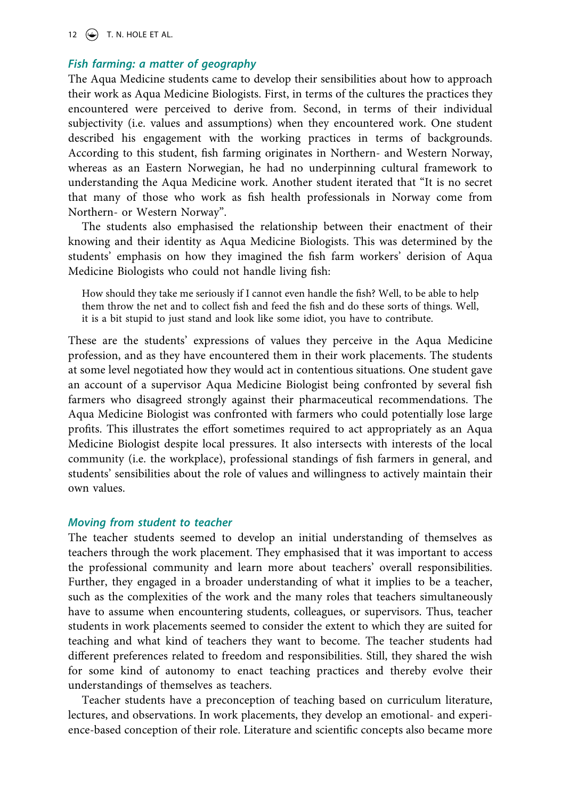## *Fish farming: a matter of geography*

The Aqua Medicine students came to develop their sensibilities about how to approach their work as Aqua Medicine Biologists. First, in terms of the cultures the practices they encountered were perceived to derive from. Second, in terms of their individual subjectivity (i.e. values and assumptions) when they encountered work. One student described his engagement with the working practices in terms of backgrounds. According to this student, fish farming originates in Northern- and Western Norway, whereas as an Eastern Norwegian, he had no underpinning cultural framework to understanding the Aqua Medicine work. Another student iterated that "It is no secret that many of those who work as fish health professionals in Norway come from Northern- or Western Norway".

The students also emphasised the relationship between their enactment of their knowing and their identity as Aqua Medicine Biologists. This was determined by the students' emphasis on how they imagined the fish farm workers' derision of Aqua Medicine Biologists who could not handle living fish:

How should they take me seriously if I cannot even handle the fish? Well, to be able to help them throw the net and to collect fish and feed the fish and do these sorts of things. Well, it is a bit stupid to just stand and look like some idiot, you have to contribute.

These are the students' expressions of values they perceive in the Aqua Medicine profession, and as they have encountered them in their work placements. The students at some level negotiated how they would act in contentious situations. One student gave an account of a supervisor Aqua Medicine Biologist being confronted by several fish farmers who disagreed strongly against their pharmaceutical recommendations. The Aqua Medicine Biologist was confronted with farmers who could potentially lose large profits. This illustrates the effort sometimes required to act appropriately as an Aqua Medicine Biologist despite local pressures. It also intersects with interests of the local community (i.e. the workplace), professional standings of fish farmers in general, and students' sensibilities about the role of values and willingness to actively maintain their own values.

#### *Moving from student to teacher*

The teacher students seemed to develop an initial understanding of themselves as teachers through the work placement. They emphasised that it was important to access the professional community and learn more about teachers' overall responsibilities. Further, they engaged in a broader understanding of what it implies to be a teacher, such as the complexities of the work and the many roles that teachers simultaneously have to assume when encountering students, colleagues, or supervisors. Thus, teacher students in work placements seemed to consider the extent to which they are suited for teaching and what kind of teachers they want to become. The teacher students had different preferences related to freedom and responsibilities. Still, they shared the wish for some kind of autonomy to enact teaching practices and thereby evolve their understandings of themselves as teachers.

Teacher students have a preconception of teaching based on curriculum literature, lectures, and observations. In work placements, they develop an emotional- and experience-based conception of their role. Literature and scientific concepts also became more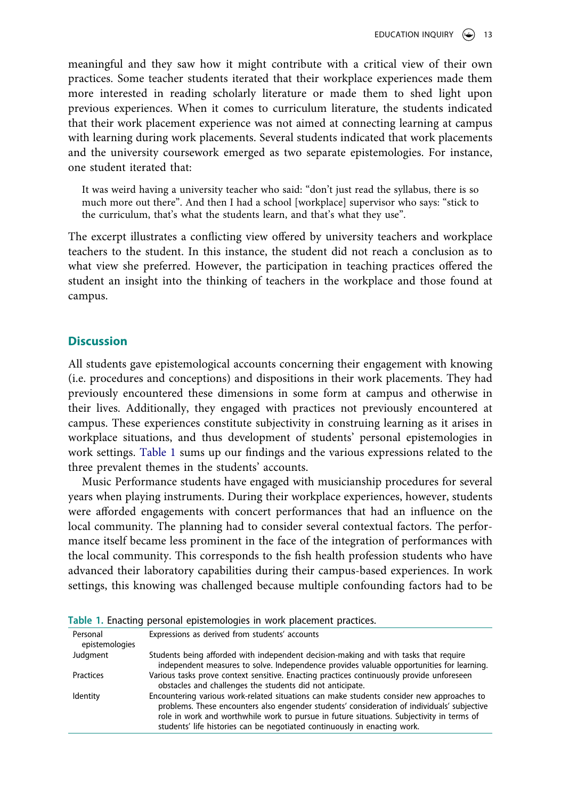meaningful and they saw how it might contribute with a critical view of their own practices. Some teacher students iterated that their workplace experiences made them more interested in reading scholarly literature or made them to shed light upon previous experiences. When it comes to curriculum literature, the students indicated that their work placement experience was not aimed at connecting learning at campus with learning during work placements. Several students indicated that work placements and the university coursework emerged as two separate epistemologies. For instance, one student iterated that:

It was weird having a university teacher who said: "don't just read the syllabus, there is so much more out there". And then I had a school [workplace] supervisor who says: "stick to the curriculum, that's what the students learn, and that's what they use".

The excerpt illustrates a conflicting view offered by university teachers and workplace teachers to the student. In this instance, the student did not reach a conclusion as to what view she preferred. However, the participation in teaching practices offered the student an insight into the thinking of teachers in the workplace and those found at campus.

## **Discussion**

All students gave epistemological accounts concerning their engagement with knowing (i.e. procedures and conceptions) and dispositions in their work placements. They had previously encountered these dimensions in some form at campus and otherwise in their lives. Additionally, they engaged with practices not previously encountered at campus. These experiences constitute subjectivity in construing learning as it arises in workplace situations, and thus development of students' personal epistemologies in work settings. [Table 1](#page-13-0) sums up our findings and the various expressions related to the three prevalent themes in the students' accounts.

Music Performance students have engaged with musicianship procedures for several years when playing instruments. During their workplace experiences, however, students were afforded engagements with concert performances that had an influence on the local community. The planning had to consider several contextual factors. The performance itself became less prominent in the face of the integration of performances with the local community. This corresponds to the fish health profession students who have advanced their laboratory capabilities during their campus-based experiences. In work settings, this knowing was challenged because multiple confounding factors had to be

|                            | Table 1. Lilacully personal epistemologies in work placement plactices.                                                                                                                                                                                                                                                                                            |
|----------------------------|--------------------------------------------------------------------------------------------------------------------------------------------------------------------------------------------------------------------------------------------------------------------------------------------------------------------------------------------------------------------|
| Personal<br>epistemologies | Expressions as derived from students' accounts                                                                                                                                                                                                                                                                                                                     |
| Judgment                   | Students being afforded with independent decision-making and with tasks that require<br>independent measures to solve. Independence provides valuable opportunities for learning.                                                                                                                                                                                  |
| Practices                  | Various tasks prove context sensitive. Enacting practices continuously provide unforeseen<br>obstacles and challenges the students did not anticipate.                                                                                                                                                                                                             |
| Identity                   | Encountering various work-related situations can make students consider new approaches to<br>problems. These encounters also engender students' consideration of individuals' subjective<br>role in work and worthwhile work to pursue in future situations. Subjectivity in terms of<br>students' life histories can be negotiated continuously in enacting work. |

<span id="page-13-0"></span>**Table 1.** Enacting personal epistemologies in work placement practices.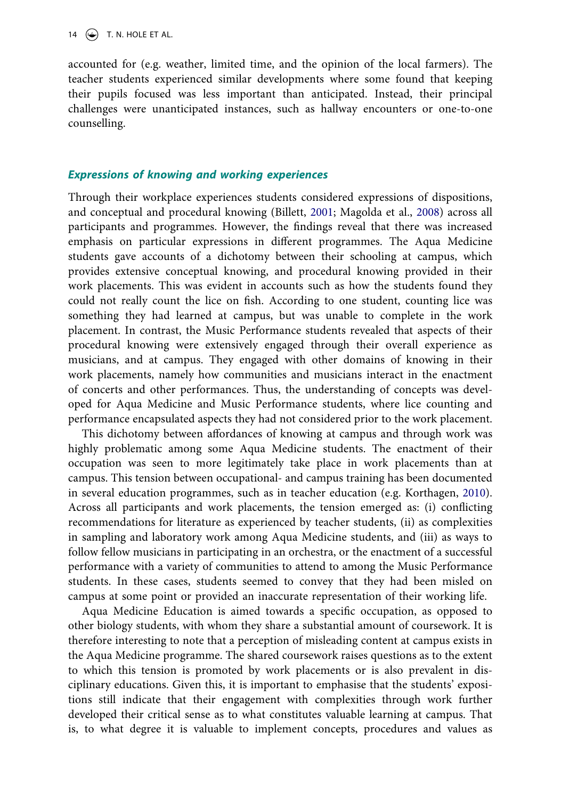14  $\left(\rightarrow\right)$  T. N. HOLE ET AL.

accounted for (e.g. weather, limited time, and the opinion of the local farmers). The teacher students experienced similar developments where some found that keeping their pupils focused was less important than anticipated. Instead, their principal challenges were unanticipated instances, such as hallway encounters or one-to-one counselling.

### *Expressions of knowing and working experiences*

Through their workplace experiences students considered expressions of dispositions, and conceptual and procedural knowing (Billett, [2001](#page-18-14); Magolda et al., [2008\)](#page-19-9) across all participants and programmes. However, the findings reveal that there was increased emphasis on particular expressions in different programmes. The Aqua Medicine students gave accounts of a dichotomy between their schooling at campus, which provides extensive conceptual knowing, and procedural knowing provided in their work placements. This was evident in accounts such as how the students found they could not really count the lice on fish. According to one student, counting lice was something they had learned at campus, but was unable to complete in the work placement. In contrast, the Music Performance students revealed that aspects of their procedural knowing were extensively engaged through their overall experience as musicians, and at campus. They engaged with other domains of knowing in their work placements, namely how communities and musicians interact in the enactment of concerts and other performances. Thus, the understanding of concepts was developed for Aqua Medicine and Music Performance students, where lice counting and performance encapsulated aspects they had not considered prior to the work placement.

<span id="page-14-0"></span>This dichotomy between affordances of knowing at campus and through work was highly problematic among some Aqua Medicine students. The enactment of their occupation was seen to more legitimately take place in work placements than at campus. This tension between occupational- and campus training has been documented in several education programmes, such as in teacher education (e.g. Korthagen, [2010](#page-19-21)). Across all participants and work placements, the tension emerged as: (i) conflicting recommendations for literature as experienced by teacher students, (ii) as complexities in sampling and laboratory work among Aqua Medicine students, and (iii) as ways to follow fellow musicians in participating in an orchestra, or the enactment of a successful performance with a variety of communities to attend to among the Music Performance students. In these cases, students seemed to convey that they had been misled on campus at some point or provided an inaccurate representation of their working life.

Aqua Medicine Education is aimed towards a specific occupation, as opposed to other biology students, with whom they share a substantial amount of coursework. It is therefore interesting to note that a perception of misleading content at campus exists in the Aqua Medicine programme. The shared coursework raises questions as to the extent to which this tension is promoted by work placements or is also prevalent in disciplinary educations. Given this, it is important to emphasise that the students' expositions still indicate that their engagement with complexities through work further developed their critical sense as to what constitutes valuable learning at campus. That is, to what degree it is valuable to implement concepts, procedures and values as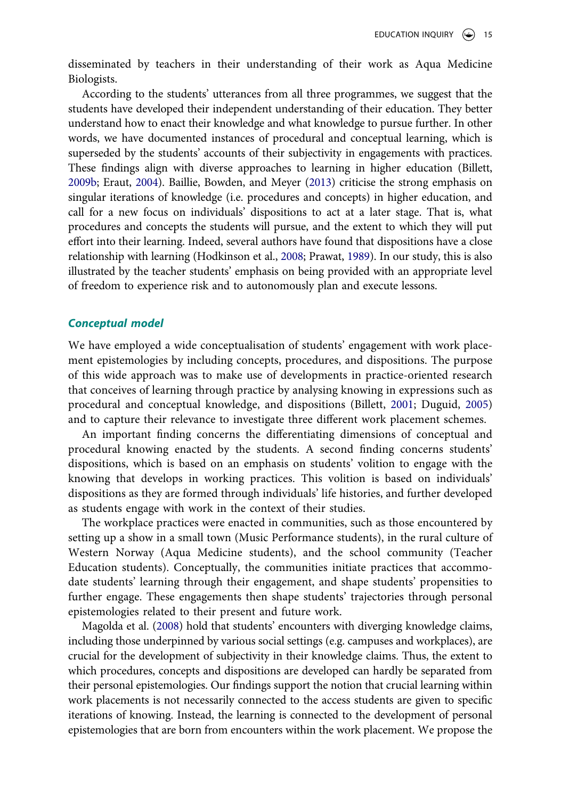disseminated by teachers in their understanding of their work as Aqua Medicine Biologists.

<span id="page-15-1"></span><span id="page-15-0"></span>According to the students' utterances from all three programmes, we suggest that the students have developed their independent understanding of their education. They better understand how to enact their knowledge and what knowledge to pursue further. In other words, we have documented instances of procedural and conceptual learning, which is superseded by the students' accounts of their subjectivity in engagements with practices. These findings align with diverse approaches to learning in higher education (Billett, [2009b;](#page-18-17) Eraut, [2004](#page-19-22)). Baillie, Bowden, and Meyer ([2013\)](#page-18-18) criticise the strong emphasis on singular iterations of knowledge (i.e. procedures and concepts) in higher education, and call for a new focus on individuals' dispositions to act at a later stage. That is, what procedures and concepts the students will pursue, and the extent to which they will put effort into their learning. Indeed, several authors have found that dispositions have a close relationship with learning (Hodkinson et al., [2008;](#page-19-17) Prawat, [1989](#page-19-15)). In our study, this is also illustrated by the teacher students' emphasis on being provided with an appropriate level of freedom to experience risk and to autonomously plan and execute lessons.

#### *Conceptual model*

We have employed a wide conceptualisation of students' engagement with work placement epistemologies by including concepts, procedures, and dispositions. The purpose of this wide approach was to make use of developments in practice-oriented research that conceives of learning through practice by analysing knowing in expressions such as procedural and conceptual knowledge, and dispositions (Billett, [2001;](#page-18-14) Duguid, [2005\)](#page-18-5) and to capture their relevance to investigate three different work placement schemes.

An important finding concerns the differentiating dimensions of conceptual and procedural knowing enacted by the students. A second finding concerns students' dispositions, which is based on an emphasis on students' volition to engage with the knowing that develops in working practices. This volition is based on individuals' dispositions as they are formed through individuals' life histories, and further developed as students engage with work in the context of their studies.

The workplace practices were enacted in communities, such as those encountered by setting up a show in a small town (Music Performance students), in the rural culture of Western Norway (Aqua Medicine students), and the school community (Teacher Education students). Conceptually, the communities initiate practices that accommodate students' learning through their engagement, and shape students' propensities to further engage. These engagements then shape students' trajectories through personal epistemologies related to their present and future work.

Magolda et al. ([2008](#page-19-9)) hold that students' encounters with diverging knowledge claims, including those underpinned by various social settings (e.g. campuses and workplaces), are crucial for the development of subjectivity in their knowledge claims. Thus, the extent to which procedures, concepts and dispositions are developed can hardly be separated from their personal epistemologies. Our findings support the notion that crucial learning within work placements is not necessarily connected to the access students are given to specific iterations of knowing. Instead, the learning is connected to the development of personal epistemologies that are born from encounters within the work placement. We propose the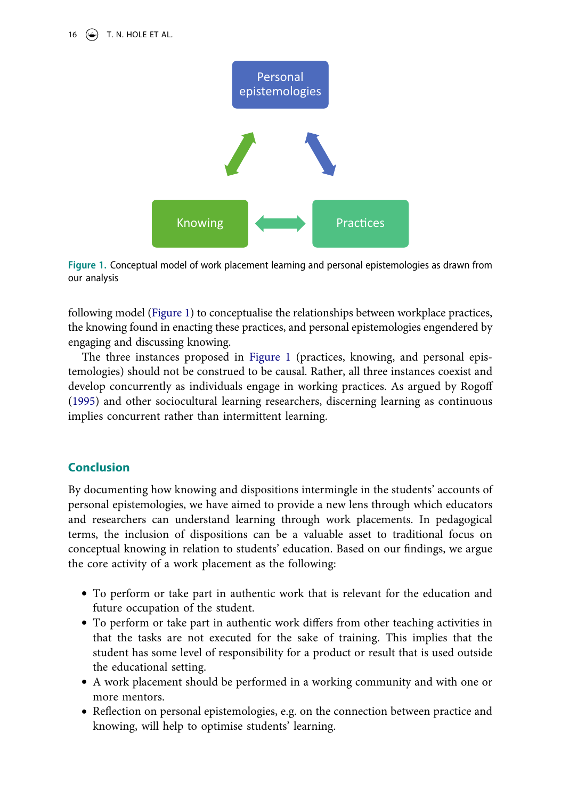

<span id="page-16-0"></span>**Figure 1.** Conceptual model of work placement learning and personal epistemologies as drawn from our analysis

following model [\(Figure 1](#page-16-0)) to conceptualise the relationships between workplace practices, the knowing found in enacting these practices, and personal epistemologies engendered by engaging and discussing knowing.

The three instances proposed in [Figure 1](#page-16-0) (practices, knowing, and personal epistemologies) should not be construed to be causal. Rather, all three instances coexist and develop concurrently as individuals engage in working practices. As argued by Rogoff ([1995\)](#page-19-14) and other sociocultural learning researchers, discerning learning as continuous implies concurrent rather than intermittent learning.

## **Conclusion**

By documenting how knowing and dispositions intermingle in the students' accounts of personal epistemologies, we have aimed to provide a new lens through which educators and researchers can understand learning through work placements. In pedagogical terms, the inclusion of dispositions can be a valuable asset to traditional focus on conceptual knowing in relation to students' education. Based on our findings, we argue the core activity of a work placement as the following:

- To perform or take part in authentic work that is relevant for the education and future occupation of the student.
- To perform or take part in authentic work differs from other teaching activities in that the tasks are not executed for the sake of training. This implies that the student has some level of responsibility for a product or result that is used outside the educational setting.
- A work placement should be performed in a working community and with one or more mentors.
- Reflection on personal epistemologies, e.g. on the connection between practice and knowing, will help to optimise students' learning.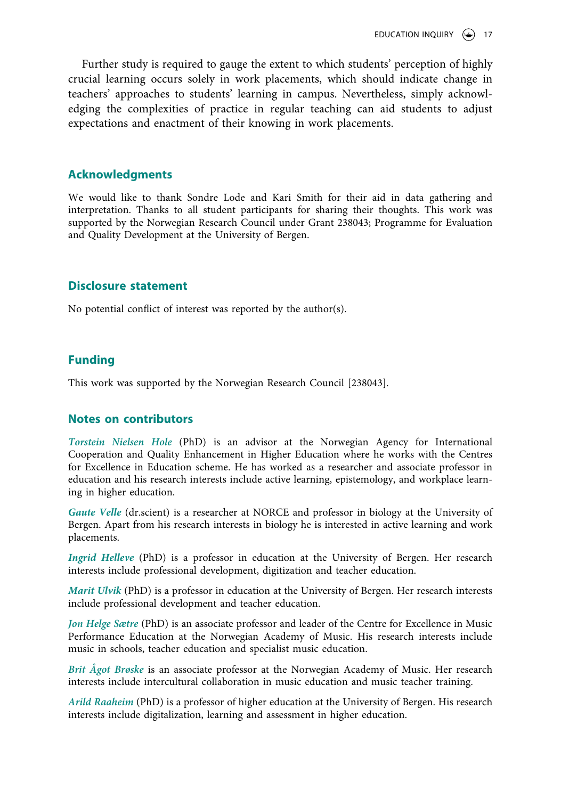Further study is required to gauge the extent to which students' perception of highly crucial learning occurs solely in work placements, which should indicate change in teachers' approaches to students' learning in campus. Nevertheless, simply acknowledging the complexities of practice in regular teaching can aid students to adjust expectations and enactment of their knowing in work placements.

## **Acknowledgments**

We would like to thank Sondre Lode and Kari Smith for their aid in data gathering and interpretation. Thanks to all student participants for sharing their thoughts. This work was supported by the Norwegian Research Council under Grant 238043; Programme for Evaluation and Quality Development at the University of Bergen.

## **Disclosure statement**

No potential conflict of interest was reported by the author(s).

## **Funding**

This work was supported by the Norwegian Research Council [238043].

## **Notes on contributors**

*Torstein Nielsen Hole* (PhD) is an advisor at the Norwegian Agency for International Cooperation and Quality Enhancement in Higher Education where he works with the Centres for Excellence in Education scheme. He has worked as a researcher and associate professor in education and his research interests include active learning, epistemology, and workplace learning in higher education.

*Gaute Velle* (dr.scient) is a researcher at NORCE and professor in biology at the University of Bergen. Apart from his research interests in biology he is interested in active learning and work placements.

*Ingrid Helleve* (PhD) is a professor in education at the University of Bergen. Her research interests include professional development, digitization and teacher education.

*Marit Ulvik* (PhD) is a professor in education at the University of Bergen. Her research interests include professional development and teacher education.

*Jon Helge Sætre* (PhD) is an associate professor and leader of the Centre for Excellence in Music Performance Education at the Norwegian Academy of Music. His research interests include music in schools, teacher education and specialist music education.

*Brit Ågot Brøske* is an associate professor at the Norwegian Academy of Music. Her research interests include intercultural collaboration in music education and music teacher training.

*Arild Raaheim* (PhD) is a professor of higher education at the University of Bergen. His research interests include digitalization, learning and assessment in higher education.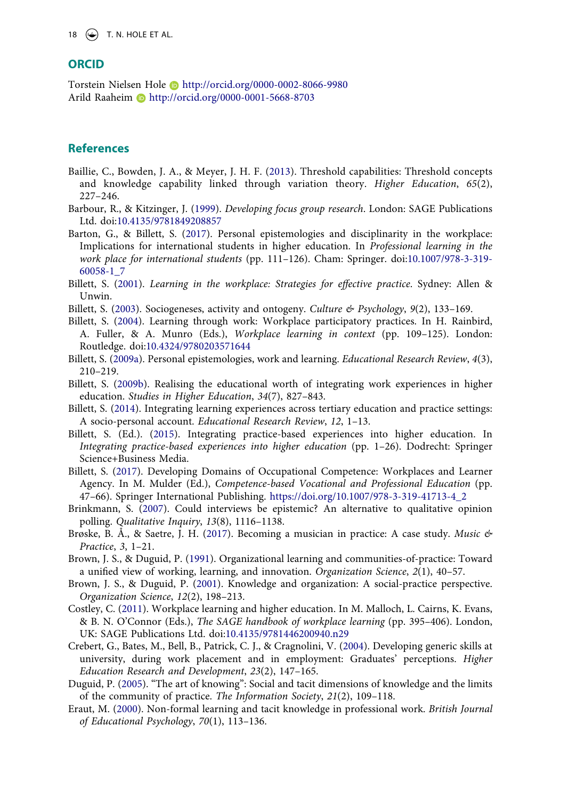#### **ORCID**

Torstein Nielsen Hole http://orcid.org/0000-0002-8066-9980 Arild Raaheim **b** http://orcid.org/0000-0001-5668-8703

## **References**

- <span id="page-18-18"></span>Baillie, C., Bowden, J. A., & Meyer, J. H. F. ([2013\)](#page-15-0). Threshold capabilities: Threshold concepts and knowledge capability linked through variation theory. *Higher Education*, *65*(2), 227–246.
- <span id="page-18-13"></span>Barbour, R., & Kitzinger, J. [\(1999\)](#page-5-0). *Developing focus group research*. London: SAGE Publications Ltd. doi:[10.4135/9781849208857](https://doi.org/10.4135/9781849208857)
- <span id="page-18-7"></span>Barton, G., & Billett, S. [\(2017\)](#page-3-0). Personal epistemologies and disciplinarity in the workplace: Implications for international students in higher education. In *Professional learning in the work place for international students* (pp. 111–126). Cham: Springer. doi:[10.1007/978-3-319-](https://doi.org/10.1007/978-3-319-60058-1_7) [60058-1\\_7](https://doi.org/10.1007/978-3-319-60058-1_7)
- <span id="page-18-14"></span>Billett, S. ([2001\)](#page-7-0). *Learning in the workplace: Strategies for effective practice*. Sydney: Allen & Unwin.
- <span id="page-18-10"></span>Billett, S. [\(2003](#page-3-1)). Sociogeneses, activity and ontogeny. *Culture & Psychology*, *9*(2), 133–169.
- <span id="page-18-16"></span>Billett, S. [\(2004\)](#page-11-0). Learning through work: Workplace participatory practices. In H. Rainbird, A. Fuller, & A. Munro (Eds.), *Workplace learning in context* (pp. 109–125). London: Routledge. doi:[10.4324/9780203571644](https://doi.org/10.4324/9780203571644)
- <span id="page-18-6"></span>Billett, S. ([2009a](#page-2-0)). Personal epistemologies, work and learning. *Educational Research Review*, *4*(3), 210–219.
- <span id="page-18-17"></span>Billett, S. [\(2009b](#page-15-1)). Realising the educational worth of integrating work experiences in higher education. *Studies in Higher Education*, *34*(7), 827–843.
- <span id="page-18-2"></span>Billett, S. ([2014\)](#page-2-1). Integrating learning experiences across tertiary education and practice settings: A socio-personal account. *Educational Research Review*, *12*, 1–13.
- <span id="page-18-0"></span>Billett, S. (Ed.). ([2015](#page-2-2)). Integrating practice-based experiences into higher education. In *Integrating practice-based experiences into higher education* (pp. 1–26). Dodrecht: Springer Science+Business Media.
- <span id="page-18-3"></span>Billett, S. [\(2017\)](#page-2-3). Developing Domains of Occupational Competence: Workplaces and Learner Agency. In M. Mulder (Ed.), *Competence-based Vocational and Professional Education* (pp. 47–66). Springer International Publishing. [https://doi.org/10.1007/978-3-319-41713-4\\_2](https://doi.org/10.1007/978-3-319-41713-4_2)
- <span id="page-18-12"></span>Brinkmann, S. [\(2007\)](#page-5-1). Could interviews be epistemic? An alternative to qualitative opinion polling. *Qualitative Inquiry*, *13*(8), 1116–1138.
- <span id="page-18-11"></span>Brøske, B. Å., & Saetre, J. H. ([2017\)](#page-4-0). Becoming a musician in practice: A case study. *Music & Practice*, *3*, 1–21.
- <span id="page-18-4"></span>Brown, J. S., & Duguid, P. [\(1991\)](#page-2-4). Organizational learning and communities-of-practice: Toward a unified view of working, learning, and innovation. *Organization Science*, *2*(1), 40–57.
- <span id="page-18-8"></span>Brown, J. S., & Duguid, P. ([2001](#page-3-2)). Knowledge and organization: A social-practice perspective. *Organization Science*, *12*(2), 198–213.
- <span id="page-18-15"></span>Costley, C. [\(2011](#page-7-1)). Workplace learning and higher education. In M. Malloch, L. Cairns, K. Evans, & B. N. O'Connor (Eds.), *The SAGE handbook of workplace learning* (pp. 395–406). London, UK: SAGE Publications Ltd. doi:[10.4135/9781446200940.n29](https://doi.org/10.4135/9781446200940.n29)
- <span id="page-18-1"></span>Crebert, G., Bates, M., Bell, B., Patrick, C. J., & Cragnolini, V. ([2004\)](#page-2-5). Developing generic skills at university, during work placement and in employment: Graduates' perceptions. *Higher Education Research and Development*, *23*(2), 147–165.
- <span id="page-18-5"></span>Duguid, P. ([2005](#page-2-6)). "The art of knowing": Social and tacit dimensions of knowledge and the limits of the community of practice. *The Information Society*, *21*(2), 109–118.
- <span id="page-18-9"></span>Eraut, M. ([2000\)](#page-3-3). Non-formal learning and tacit knowledge in professional work. *British Journal of Educational Psychology*, *70*(1), 113–136.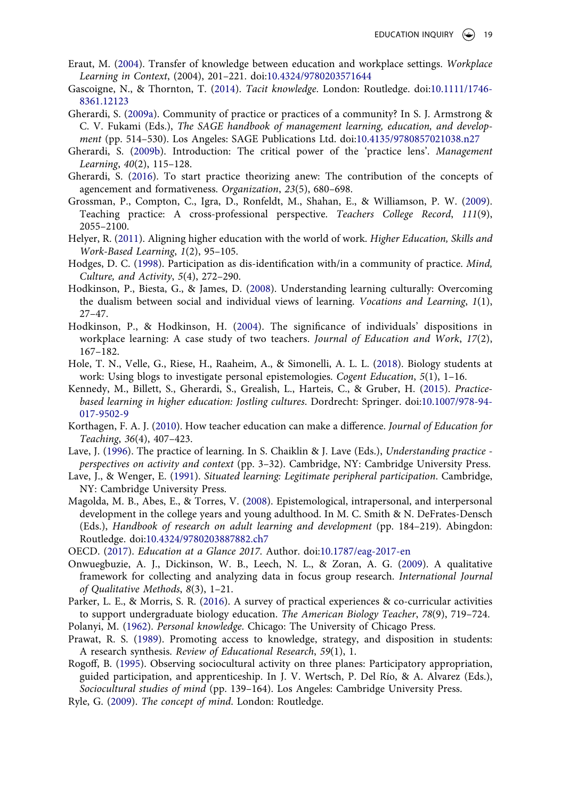- <span id="page-19-22"></span>Eraut, M. ([2004\)](#page-15-0). Transfer of knowledge between education and workplace settings. *Workplace Learning in Context*, (2004), 201–221. doi:[10.4324/9780203571644](https://doi.org/10.4324/9780203571644)
- <span id="page-19-11"></span>Gascoigne, N., & Thornton, T. ([2014\)](#page-3-4). *Tacit knowledge*. London: Routledge. doi:[10.1111/1746-](https://doi.org/10.1111/1746-8361.12123) [8361.12123](https://doi.org/10.1111/1746-8361.12123)
- <span id="page-19-5"></span>Gherardi, S. [\(2009a\)](#page-2-7). Community of practice or practices of a community? In S. J. Armstrong & C. V. Fukami (Eds.), *The SAGE handbook of management learning, education, and development* (pp. 514–530). Los Angeles: SAGE Publications Ltd. doi:[10.4135/9780857021038.n27](https://doi.org/10.4135/9780857021038.n27)
- <span id="page-19-19"></span>Gherardi, S. ([2009b\)](#page-9-0). Introduction: The critical power of the 'practice lens'. *Management Learning*, *40*(2), 115–128.
- <span id="page-19-6"></span>Gherardi, S. ([2016](#page-2-8)). To start practice theorizing anew: The contribution of the concepts of agencement and formativeness. *Organization*, *23*(5), 680–698.
- <span id="page-19-18"></span>Grossman, P., Compton, C., Igra, D., Ronfeldt, M., Shahan, E., & Williamson, P. W. [\(2009\)](#page-7-1). Teaching practice: A cross-professional perspective. *Teachers College Record*, *111*(9), 2055–2100.
- <span id="page-19-3"></span>Helyer, R. ([2011](#page-2-1)). Aligning higher education with the world of work. *Higher Education, Skills and Work-Based Learning*, *1*(2), 95–105.
- <span id="page-19-7"></span>Hodges, D. C. ([1998](#page-2-8)). Participation as dis-identification with/in a community of practice. *Mind, Culture, and Activity*, *5*(4), 272–290.
- <span id="page-19-17"></span>Hodkinson, P., Biesta, G., & James, D. ([2008\)](#page-7-2). Understanding learning culturally: Overcoming the dualism between social and individual views of learning. *Vocations and Learning*, *1*(1), 27–47.
- <span id="page-19-20"></span>Hodkinson, P., & Hodkinson, H. [\(2004\)](#page-10-0). The significance of individuals' dispositions in workplace learning: A case study of two teachers. *Journal of Education and Work*, *17*(2), 167–182.
- <span id="page-19-8"></span>Hole, T. N., Velle, G., Riese, H., Raaheim, A., & Simonelli, A. L. L. [\(2018\)](#page-2-9). Biology students at work: Using blogs to investigate personal epistemologies. *Cogent Education*, *5*(1), 1–16.
- <span id="page-19-1"></span>Kennedy, M., Billett, S., Gherardi, S., Grealish, L., Harteis, C., & Gruber, H. ([2015\)](#page-1-6). *Practicebased learning in higher education: Jostling cultures*. Dordrecht: Springer. doi:[10.1007/978-94-](https://doi.org/10.1007/978-94-017-9502-9) [017-9502-9](https://doi.org/10.1007/978-94-017-9502-9)
- <span id="page-19-21"></span>Korthagen, F. A. J. ([2010](#page-14-0)). How teacher education can make a difference. *Journal of Education for Teaching*, *36*(4), 407–423.
- <span id="page-19-13"></span>Lave, J. ([1996](#page-3-1)). The practice of learning. In S. Chaiklin & J. Lave (Eds.), *Understanding practice perspectives on activity and context* (pp. 3–32). Cambridge, NY: Cambridge University Press.
- <span id="page-19-4"></span>Lave, J., & Wenger, E. ([1991](#page-2-4)). *Situated learning: Legitimate peripheral participation*. Cambridge, NY: Cambridge University Press.
- <span id="page-19-9"></span>Magolda, M. B., Abes, E., & Torres, V. ([2008\)](#page-3-5). Epistemological, intrapersonal, and interpersonal development in the college years and young adulthood. In M. C. Smith & N. DeFrates-Densch (Eds.), *Handbook of research on adult learning and development* (pp. 184–219). Abingdon: Routledge. doi:[10.4324/9780203887882.ch7](https://doi.org/10.4324/9780203887882.ch7)
- <span id="page-19-0"></span>OECD. [\(2017\)](#page-1-7). *Education at a Glance 2017*. Author. doi:[10.1787/eag-2017-en](https://doi.org/10.1787/eag-2017-en)
- <span id="page-19-16"></span>Onwuegbuzie, A. J., Dickinson, W. B., Leech, N. L., & Zoran, A. G. [\(2009\)](#page-6-0). A qualitative framework for collecting and analyzing data in focus group research. *International Journal of Qualitative Methods*, *8*(3), 1–21.
- <span id="page-19-2"></span>Parker, L. E., & Morris, S. R. ([2016](#page-1-8)). A survey of practical experiences & co-curricular activities to support undergraduate biology education. *The American Biology Teacher*, *78*(9), 719–724.
- <span id="page-19-12"></span>Polanyi, M. [\(1962](#page-3-6)). *Personal knowledge*. Chicago: The University of Chicago Press.
- <span id="page-19-15"></span>Prawat, R. S. ([1989](#page-3-7)). Promoting access to knowledge, strategy, and disposition in students: A research synthesis. *Review of Educational Research*, *59*(1), 1.
- <span id="page-19-14"></span>Rogoff, B. [\(1995](#page-3-8)). Observing sociocultural activity on three planes: Participatory appropriation, guided participation, and apprenticeship. In J. V. Wertsch, P. Del Río, & A. Alvarez (Eds.), *Sociocultural studies of mind* (pp. 139–164). Los Angeles: Cambridge University Press.
- <span id="page-19-10"></span>Ryle, G. [\(2009\)](#page-3-9). *The concept of mind*. London: Routledge.